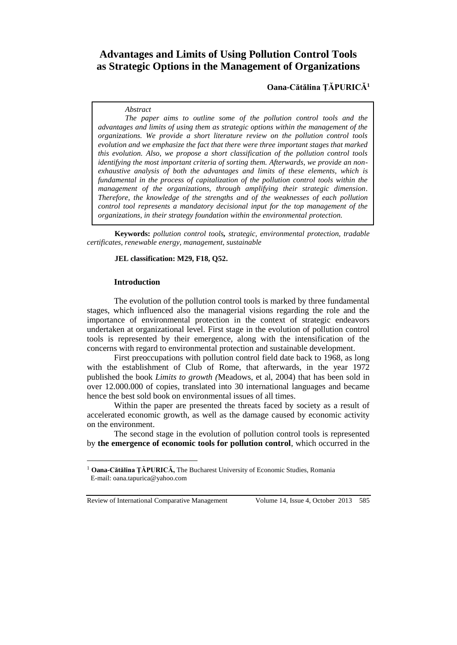# **Advantages and Limits of Using Pollution Control Tools as Strategic Options in the Management of Organizations**

**Oana-Cătălina ŢĂPURICĂ<sup>1</sup>**

#### *Abstract*

*The paper aims to outline some of the pollution control tools and the advantages and limits of using them as strategic options within the management of the organizations. We provide a short literature review on the pollution control tools evolution and we emphasize the fact that there were three important stages that marked this evolution. Also, we propose a short classification of the pollution control tools identifying the most important criteria of sorting them. Afterwards, we provide an nonexhaustive analysis of both the advantages and limits of these elements, which is fundamental in the process of capitalization of the pollution control tools within the management of the organizations, through amplifying their strategic dimension. Therefore, the knowledge of the strengths and of the weaknesses of each pollution control tool represents a mandatory decisional input for the top management of the organizations, in their strategy foundation within the environmental protection.*

**Keywords:** *pollution control tools, strategic, environmental protection, tradable certificates, renewable energy, management, sustainable*

#### **JEL classification: M29, F18, Q52.**

#### **Introduction**

The evolution of the pollution control tools is marked by three fundamental stages, which influenced also the managerial visions regarding the role and the importance of environmental protection in the context of strategic endeavors undertaken at organizational level. First stage in the evolution of pollution control tools is represented by their emergence, along with the intensification of the concerns with regard to environmental protection and sustainable development.

First preoccupations with pollution control field date back to 1968, as long with the establishment of Club of Rome, that afterwards, in the year 1972 published the book *Limits to growth (*Meadows, et al, 2004) that has been sold in over 12.000.000 of copies, translated into 30 international languages and became hence the best sold book on environmental issues of all times.

Within the paper are presented the threats faced by society as a result of accelerated economic growth, as well as the damage caused by economic activity on the environment.

The second stage in the evolution of pollution control tools is represented by **the emergence of economic tools for pollution control**, which occurred in the

Review of International Comparative Management Volume 14, Issue 4, October 2013 585

 $\overline{a}$ 

<sup>&</sup>lt;sup>1</sup> **Oana-Cătălina ȚĂPURICĂ,** The Bucharest University of Economic Studies, Romania E-mail: oana.tapurica@yahoo.com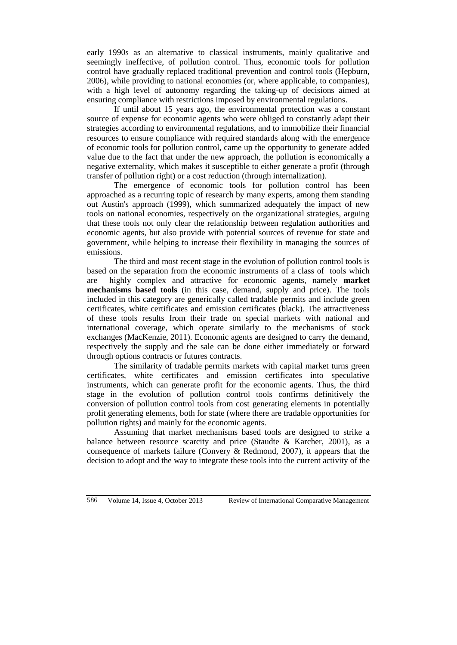early 1990s as an alternative to classical instruments, mainly qualitative and seemingly ineffective, of pollution control. Thus, economic tools for pollution control have gradually replaced traditional prevention and control tools (Hepburn, 2006), while providing to national economies (or, where applicable, to companies), with a high level of autonomy regarding the taking-up of decisions aimed at ensuring compliance with restrictions imposed by environmental regulations.

If until about 15 years ago, the environmental protection was a constant source of expense for economic agents who were obliged to constantly adapt their strategies according to environmental regulations, and to immobilize their financial resources to ensure compliance with required standards along with the emergence of economic tools for pollution control, came up the opportunity to generate added value due to the fact that under the new approach, the pollution is economically a negative externality, which makes it susceptible to either generate a profit (through transfer of pollution right) or a cost reduction (through internalization).

The emergence of economic tools for pollution control has been approached as a recurring topic of research by many experts, among them standing out Austin's approach (1999), which summarized adequately the impact of new tools on national economies, respectively on the organizational strategies, arguing that these tools not only clear the relationship between regulation authorities and economic agents, but also provide with potential sources of revenue for state and government, while helping to increase their flexibility in managing the sources of emissions.

The third and most recent stage in the evolution of pollution control tools is based on the separation from the economic instruments of a class of tools which are highly complex and attractive for economic agents, namely **market mechanisms based tools** (in this case, demand, supply and price). The tools included in this category are generically called tradable permits and include green certificates, white certificates and emission certificates (black). The attractiveness of these tools results from their trade on special markets with national and international coverage, which operate similarly to the mechanisms of stock exchanges (MacKenzie, 2011). Economic agents are designed to carry the demand, respectively the supply and the sale can be done either immediately or forward through options contracts or futures contracts.

The similarity of tradable permits markets with capital market turns green certificates, white certificates and emission certificates into speculative instruments, which can generate profit for the economic agents. Thus, the third stage in the evolution of pollution control tools confirms definitively the conversion of pollution control tools from cost generating elements in potentially profit generating elements, both for state (where there are tradable opportunities for pollution rights) and mainly for the economic agents.

Assuming that market mechanisms based tools are designed to strike a balance between resource scarcity and price (Staudte & Karcher, 2001), as a consequence of markets failure (Convery & Redmond, 2007), it appears that the decision to adopt and the way to integrate these tools into the current activity of the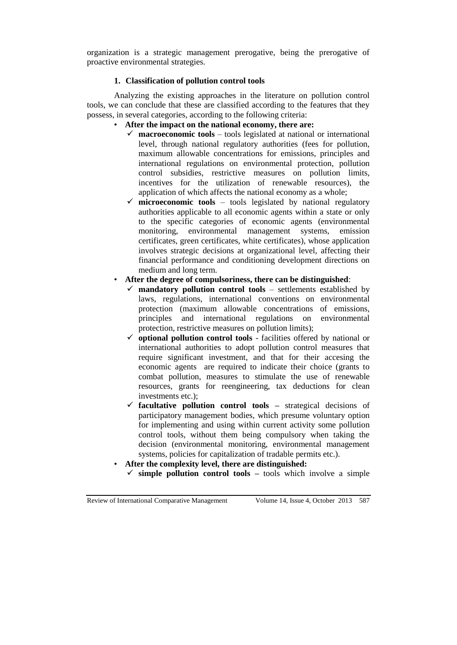organization is a strategic management prerogative, being the prerogative of proactive environmental strategies.

# **1. Classification of pollution control tools**

Analyzing the existing approaches in the literature on pollution control tools, we can conclude that these are classified according to the features that they possess, in several categories, according to the following criteria:

- **After the impact on the national economy, there are:**
	- $\checkmark$  **macroeconomic tools** tools legislated at national or international level, through national regulatory authorities (fees for pollution, maximum allowable concentrations for emissions, principles and international regulations on environmental protection, pollution control subsidies, restrictive measures on pollution limits, incentives for the utilization of renewable resources), the application of which affects the national economy as a whole;
	- **microeconomic tools** tools legislated by national regulatory authorities applicable to all economic agents within a state or only to the specific categories of economic agents (environmental monitoring, environmental management systems, emission certificates, green certificates, white certificates), whose application involves strategic decisions at organizational level, affecting their financial performance and conditioning development directions on medium and long term.
- **After the degree of compulsoriness, there can be distinguished**:
	- $\checkmark$  mandatory pollution control tools settlements established by laws, regulations, international conventions on environmental protection (maximum allowable concentrations of emissions, principles and international regulations on environmental protection, restrictive measures on pollution limits);
	- $\checkmark$  optional pollution control tools facilities offered by national or international authorities to adopt pollution control measures that require significant investment, and that for their accesing the economic agents are required to indicate their choice (grants to combat pollution, measures to stimulate the use of renewable resources, grants for reengineering, tax deductions for clean investments etc.);
	- **facultative pollution control tools –** strategical decisions of participatory management bodies, which presume voluntary option for implementing and using within current activity some pollution control tools, without them being compulsory when taking the decision (environmental monitoring, environmental management systems, policies for capitalization of tradable permits etc.).
- **After the complexity level, there are distinguished:** 
	- $\checkmark$  simple pollution control tools tools which involve a simple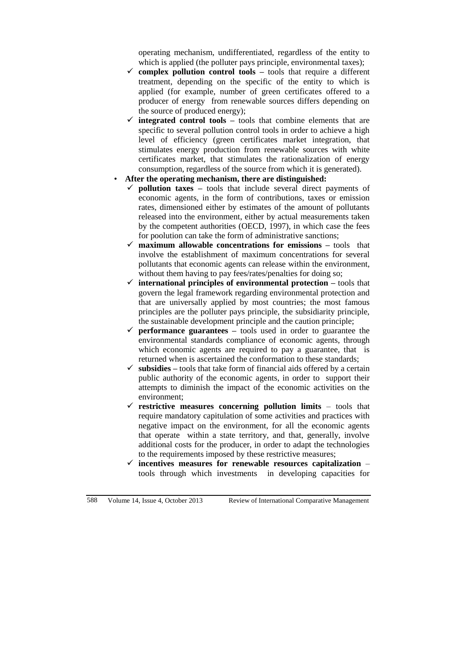operating mechanism, undifferentiated, regardless of the entity to which is applied (the polluter pays principle, environmental taxes);

- **complex pollution control tools –** tools that require a different treatment, depending on the specific of the entity to which is applied (for example, number of green certificates offered to a producer of energy from renewable sources differs depending on the source of produced energy);
- $\checkmark$  integrated control tools tools that combine elements that are specific to several pollution control tools in order to achieve a high level of efficiency (green certificates market integration, that stimulates energy production from renewable sources with white certificates market, that stimulates the rationalization of energy consumption, regardless of the source from which it is generated).
- **After the operating mechanism, there are distinguished:**
	- **pollution taxes –** tools that include several direct payments of economic agents, in the form of contributions, taxes or emission rates, dimensioned either by estimates of the amount of pollutants released into the environment, either by actual measurements taken by the competent authorities (OECD, 1997), in which case the fees for poolution can take the form of administrative sanctions;
	- **maximum allowable concentrations for emissions –** tools that involve the establishment of maximum concentrations for several pollutants that economic agents can release within the environment, without them having to pay fees/rates/penalties for doing so;
	- $\checkmark$  international principles of environmental protection tools that govern the legal framework regarding environmental protection and that are universally applied by most countries; the most famous principles are the polluter pays principle, the subsidiarity principle, the sustainable development principle and the caution principle;
	- $\checkmark$  performance guarantees tools used in order to guarantee the environmental standards compliance of economic agents, through which economic agents are required to pay a guarantee, that is returned when is ascertained the conformation to these standards;
	- **subsidies –** tools that take form of financial aids offered by a certain public authority of the economic agents, in order to support their attempts to diminish the impact of the economic activities on the environment;
	- **restrictive measures concerning pollution limits** tools that require mandatory capitulation of some activities and practices with negative impact on the environment, for all the economic agents that operate within a state territory, and that, generally, involve additional costs for the producer, in order to adapt the technologies to the requirements imposed by these restrictive measures;
	- **incentives measures for renewable resources capitalization**  tools through which investments in developing capacities for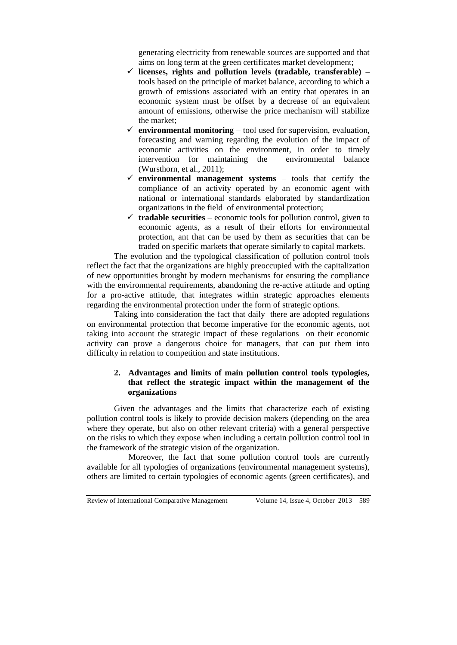generating electricity from renewable sources are supported and that aims on long term at the green certificates market development;

- $\checkmark$  licenses, rights and pollution levels (tradable, transferable) tools based on the principle of market balance, according to which a growth of emissions associated with an entity that operates in an economic system must be offset by a decrease of an equivalent amount of emissions, otherwise the price mechanism will stabilize the market;
- $\checkmark$  environmental monitoring tool used for supervision, evaluation, forecasting and warning regarding the evolution of the impact of economic activities on the environment, in order to timely intervention for maintaining the environmental balance (Wursthorn, et al., 2011);
- $\checkmark$  environmental management systems tools that certify the compliance of an activity operated by an economic agent with national or international standards elaborated by standardization organizations in the field of environmental protection;
- $\checkmark$  tradable securities economic tools for pollution control, given to economic agents, as a result of their efforts for environmental protection, ant that can be used by them as securities that can be traded on specific markets that operate similarly to capital markets.

The evolution and the typological classification of pollution control tools reflect the fact that the organizations are highly preoccupied with the capitalization of new opportunities brought by modern mechanisms for ensuring the compliance with the environmental requirements, abandoning the re-active attitude and opting for a pro-active attitude, that integrates within strategic approaches elements regarding the environmental protection under the form of strategic options.

Taking into consideration the fact that daily there are adopted regulations on environmental protection that become imperative for the economic agents, not taking into account the strategic impact of these regulations on their economic activity can prove a dangerous choice for managers, that can put them into difficulty in relation to competition and state institutions.

# **2. Advantages and limits of main pollution control tools typologies, that reflect the strategic impact within the management of the organizations**

Given the advantages and the limits that characterize each of existing pollution control tools is likely to provide decision makers (depending on the area where they operate, but also on other relevant criteria) with a general perspective on the risks to which they expose when including a certain pollution control tool in the framework of the strategic vision of the organization.

Moreover, the fact that some pollution control tools are currently available for all typologies of organizations (environmental management systems), others are limited to certain typologies of economic agents (green certificates), and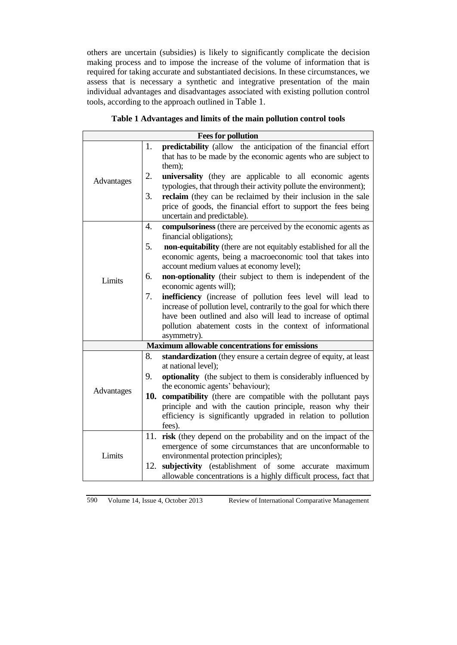others are uncertain (subsidies) is likely to significantly complicate the decision making process and to impose the increase of the volume of information that is required for taking accurate and substantiated decisions. In these circumstances, we assess that is necessary a synthetic and integrative presentation of the main individual advantages and disadvantages associated with existing pollution control tools, according to the approach outlined in [Table 1](#page-5-0).

<span id="page-5-0"></span>

|            |     | <b>Fees for pollution</b>                                                                               |
|------------|-----|---------------------------------------------------------------------------------------------------------|
|            | 1.  | predictability (allow the anticipation of the financial effort                                          |
|            |     | that has to be made by the economic agents who are subject to                                           |
|            |     | them);                                                                                                  |
| Advantages | 2.  | universality (they are applicable to all economic agents                                                |
|            |     | typologies, that through their activity pollute the environment);                                       |
|            | 3.  | reclaim (they can be reclaimed by their inclusion in the sale                                           |
|            |     | price of goods, the financial effort to support the fees being                                          |
|            |     | uncertain and predictable).                                                                             |
|            | 4.  | compulsoriness (there are perceived by the economic agents as                                           |
|            |     | financial obligations);                                                                                 |
|            | 5.  | non-equitability (there are not equitably established for all the                                       |
|            |     | economic agents, being a macroeconomic tool that takes into<br>account medium values at economy level); |
|            | 6.  |                                                                                                         |
| Limits     |     | non-optionality (their subject to them is independent of the<br>economic agents will);                  |
|            | 7.  | inefficiency (increase of pollution fees level will lead to                                             |
|            |     | increase of pollution level, contrarily to the goal for which there                                     |
|            |     | have been outlined and also will lead to increase of optimal                                            |
|            |     | pollution abatement costs in the context of informational                                               |
|            |     | asymmetry).                                                                                             |
|            |     | <b>Maximum allowable concentrations for emissions</b>                                                   |
|            | 8.  | standardization (they ensure a certain degree of equity, at least                                       |
| Advantages |     | at national level);                                                                                     |
|            | 9.  | <b>optionality</b> (the subject to them is considerably influenced by                                   |
|            |     | the economic agents' behaviour);                                                                        |
|            | 10. | compatibility (there are compatible with the pollutant pays                                             |
|            |     | principle and with the caution principle, reason why their                                              |
|            |     | efficiency is significantly upgraded in relation to pollution<br>fees).                                 |
|            | 11. | risk (they depend on the probability and on the impact of the                                           |
| Limits     |     | emergence of some circumstances that are unconformable to                                               |
|            |     | environmental protection principles);                                                                   |
|            | 12. | subjectivity (establishment of some accurate maximum                                                    |
|            |     | allowable concentrations is a highly difficult process, fact that                                       |

# **Table 1 Advantages and limits of the main pollution control tools**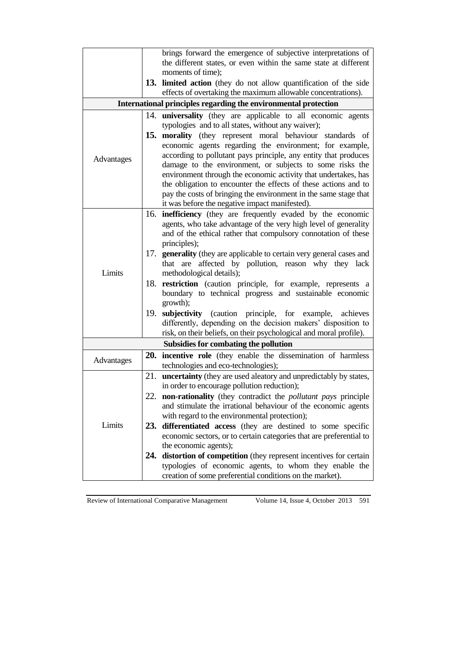|            |     | brings forward the emergence of subjective interpretations of                                                                       |
|------------|-----|-------------------------------------------------------------------------------------------------------------------------------------|
|            |     | the different states, or even within the same state at different                                                                    |
|            |     | moments of time);                                                                                                                   |
|            |     |                                                                                                                                     |
|            |     | 13. limited action (they do not allow quantification of the side<br>effects of overtaking the maximum allowable concentrations).    |
|            |     |                                                                                                                                     |
|            |     | International principles regarding the environmental protection                                                                     |
|            |     | 14. <b>universality</b> (they are applicable to all economic agents                                                                 |
|            |     | typologies and to all states, without any waiver);                                                                                  |
|            |     | 15. morality (they represent moral behaviour standards of                                                                           |
|            |     | economic agents regarding the environment; for example,                                                                             |
| Advantages |     | according to pollutant pays principle, any entity that produces                                                                     |
|            |     | damage to the environment, or subjects to some risks the                                                                            |
|            |     | environment through the economic activity that undertakes, has                                                                      |
|            |     | the obligation to encounter the effects of these actions and to<br>pay the costs of bringing the environment in the same stage that |
|            |     | it was before the negative impact manifested).                                                                                      |
|            |     | 16. <b>inefficiency</b> (they are frequently evaded by the economic                                                                 |
|            |     | agents, who take advantage of the very high level of generality                                                                     |
|            |     | and of the ethical rather that compulsory connotation of these                                                                      |
|            |     | principles);                                                                                                                        |
|            |     | 17. generality (they are applicable to certain very general cases and                                                               |
|            |     | that are affected by pollution, reason why they lack                                                                                |
| Limits     |     | methodological details);                                                                                                            |
|            |     | 18. restriction (caution principle, for example, represents a                                                                       |
|            |     | boundary to technical progress and sustainable economic                                                                             |
|            |     | growth);                                                                                                                            |
|            |     | 19. subjectivity (caution principle, for example,<br>achieves                                                                       |
|            |     | differently, depending on the decision makers' disposition to                                                                       |
|            |     | risk, on their beliefs, on their psychological and moral profile).                                                                  |
|            |     | Subsidies for combating the pollution                                                                                               |
|            |     | 20. incentive role (they enable the dissemination of harmless                                                                       |
| Advantages |     | technologies and eco-technologies);                                                                                                 |
|            | 21. | uncertainty (they are used aleatory and unpredictably by states,                                                                    |
|            |     | in order to encourage pollution reduction);                                                                                         |
|            |     | 22. non-rationality (they contradict the <i>pollutant pays</i> principle                                                            |
|            |     | and stimulate the irrational behaviour of the economic agents                                                                       |
| Limits     |     | with regard to the environmental protection);                                                                                       |
|            |     | 23. differentiated access (they are destined to some specific                                                                       |
|            |     | economic sectors, or to certain categories that are preferential to                                                                 |
|            |     | the economic agents);                                                                                                               |
|            | 24. | distortion of competition (they represent incentives for certain                                                                    |
|            |     | typologies of economic agents, to whom they enable the                                                                              |
|            |     | creation of some preferential conditions on the market).                                                                            |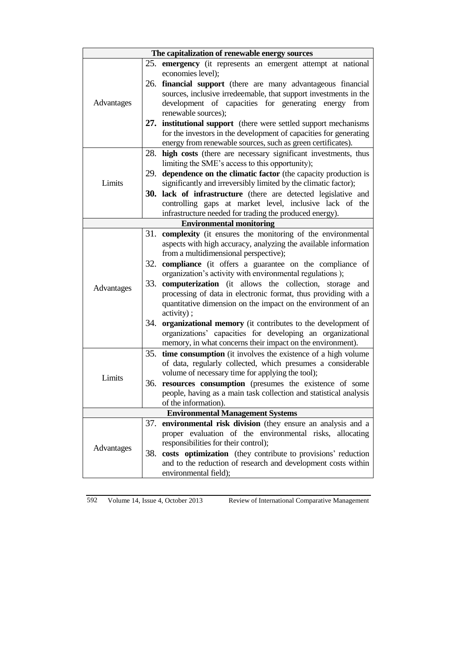| The capitalization of renewable energy sources |     |                                                                     |  |  |
|------------------------------------------------|-----|---------------------------------------------------------------------|--|--|
|                                                |     | 25. emergency (it represents an emergent attempt at national        |  |  |
|                                                |     | economies level);                                                   |  |  |
|                                                |     | 26. <b>financial support</b> (there are many advantageous financial |  |  |
|                                                |     | sources, inclusive irredeemable, that support investments in the    |  |  |
| Advantages                                     |     | development of capacities for generating energy<br>from             |  |  |
|                                                |     | renewable sources);                                                 |  |  |
|                                                |     | 27. institutional support (there were settled support mechanisms)   |  |  |
|                                                |     | for the investors in the development of capacities for generating   |  |  |
|                                                |     | energy from renewable sources, such as green certificates).         |  |  |
|                                                | 28. | high costs (there are necessary significant investments, thus       |  |  |
|                                                |     | limiting the SME's access to this opportunity);                     |  |  |
|                                                |     | 29. dependence on the climatic factor (the capacity production is   |  |  |
| Limits                                         |     | significantly and irreversibly limited by the climatic factor);     |  |  |
|                                                |     | 30. lack of infrastructure (there are detected legislative and      |  |  |
|                                                |     | controlling gaps at market level, inclusive lack of the             |  |  |
|                                                |     | infrastructure needed for trading the produced energy).             |  |  |
|                                                |     | <b>Environmental monitoring</b>                                     |  |  |
|                                                |     | 31. complexity (it ensures the monitoring of the environmental      |  |  |
|                                                |     | aspects with high accuracy, analyzing the available information     |  |  |
|                                                |     | from a multidimensional perspective);                               |  |  |
|                                                | 32. | compliance (it offers a guarantee on the compliance of              |  |  |
|                                                |     | organization's activity with environmental regulations);            |  |  |
| Advantages                                     |     | 33. computerization (it allows the collection, storage and          |  |  |
|                                                |     | processing of data in electronic format, thus providing with a      |  |  |
|                                                |     | quantitative dimension on the impact on the environment of an       |  |  |
|                                                |     | activity);                                                          |  |  |
|                                                |     | 34. organizational memory (it contributes to the development of     |  |  |
|                                                |     | organizations' capacities for developing an organizational          |  |  |
|                                                |     | memory, in what concerns their impact on the environment).          |  |  |
|                                                | 35. | time consumption (it involves the existence of a high volume        |  |  |
|                                                |     | of data, regularly collected, which presumes a considerable         |  |  |
| Limits                                         |     | volume of necessary time for applying the tool);                    |  |  |
|                                                |     | 36. resources consumption (presumes the existence of some           |  |  |
|                                                |     | people, having as a main task collection and statistical analysis   |  |  |
|                                                |     | of the information).                                                |  |  |
| <b>Environmental Management Systems</b>        |     |                                                                     |  |  |
|                                                | 37. | environmental risk division (they ensure an analysis and a          |  |  |
| Advantages                                     |     | proper evaluation of the environmental risks, allocating            |  |  |
|                                                | 38. | responsibilities for their control);                                |  |  |
|                                                |     | costs optimization (they contribute to provisions' reduction        |  |  |
|                                                |     | and to the reduction of research and development costs within       |  |  |
|                                                |     | environmental field);                                               |  |  |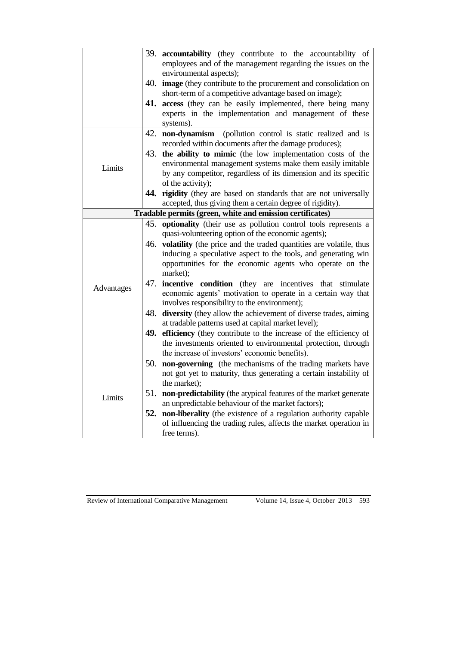|            |     | 39. accountability (they contribute to the accountability of<br>employees and of the management regarding the issues on the<br>environmental aspects); |
|------------|-----|--------------------------------------------------------------------------------------------------------------------------------------------------------|
|            | 40. | image (they contribute to the procurement and consolidation on<br>short-term of a competitive advantage based on image);                               |
|            |     | 41. access (they can be easily implemented, there being many                                                                                           |
|            |     | experts in the implementation and management of these<br>systems).                                                                                     |
|            |     | 42. non-dynamism (pollution control is static realized and is                                                                                          |
|            |     | recorded within documents after the damage produces);<br>43. the ability to mimic (the low implementation costs of the                                 |
|            |     | environmental management systems make them easily imitable                                                                                             |
| Limits     |     | by any competitor, regardless of its dimension and its specific                                                                                        |
|            |     | of the activity);                                                                                                                                      |
|            |     | 44. rigidity (they are based on standards that are not universally                                                                                     |
|            |     | accepted, thus giving them a certain degree of rigidity).                                                                                              |
|            |     | Tradable permits (green, white and emission certificates)                                                                                              |
|            | 45. | optionality (their use as pollution control tools represents a                                                                                         |
|            |     | quasi-volunteering option of the economic agents);                                                                                                     |
|            | 46. | volatility (the price and the traded quantities are volatile, thus                                                                                     |
|            |     | inducing a speculative aspect to the tools, and generating win<br>opportunities for the economic agents who operate on the                             |
|            |     | market);                                                                                                                                               |
|            | 47. | incentive condition (they are incentives that stimulate                                                                                                |
| Advantages |     | economic agents' motivation to operate in a certain way that                                                                                           |
|            |     | involves responsibility to the environment);                                                                                                           |
|            | 48. | diversity (they allow the achievement of diverse trades, aiming                                                                                        |
|            |     | at tradable patterns used at capital market level);                                                                                                    |
|            |     | 49. efficiency (they contribute to the increase of the efficiency of                                                                                   |
|            |     | the investments oriented to environmental protection, through<br>the increase of investors' economic benefits).                                        |
|            | 50. | non-governing (the mechanisms of the trading markets have                                                                                              |
|            |     | not got yet to maturity, thus generating a certain instability of                                                                                      |
| Limits     |     | the market);                                                                                                                                           |
|            | 51. | non-predictability (the atypical features of the market generate                                                                                       |
|            |     | an unpredictable behaviour of the market factors);                                                                                                     |
|            |     | 52. non-liberality (the existence of a regulation authority capable                                                                                    |
|            |     | of influencing the trading rules, affects the market operation in                                                                                      |
|            |     | free terms).                                                                                                                                           |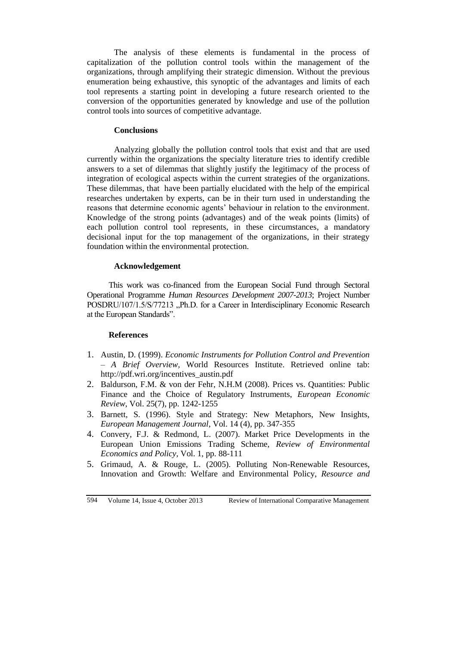The analysis of these elements is fundamental in the process of capitalization of the pollution control tools within the management of the organizations, through amplifying their strategic dimension. Without the previous enumeration being exhaustive, this synoptic of the advantages and limits of each tool represents a starting point in developing a future research oriented to the conversion of the opportunities generated by knowledge and use of the pollution control tools into sources of competitive advantage.

### **Conclusions**

Analyzing globally the pollution control tools that exist and that are used currently within the organizations the specialty literature tries to identify credible answers to a set of dilemmas that slightly justify the legitimacy of the process of integration of ecological aspects within the current strategies of the organizations. These dilemmas, that have been partially elucidated with the help of the empirical researches undertaken by experts, can be in their turn used in understanding the reasons that determine economic agents' behaviour in relation to the environment. Knowledge of the strong points (advantages) and of the weak points (limits) of each pollution control tool represents, in these circumstances, a mandatory decisional input for the top management of the organizations, in their strategy foundation within the environmental protection.

### **Acknowledgement**

This work was co-financed from the European Social Fund through Sectoral Operational Programme *Human Resources Development 2007-2013*; Project Number POSDRU/107/1.5/S/77213 "Ph.D. for a Career in Interdisciplinary Economic Research at the European Standards".

### **References**

- 1. Austin, D. (1999). *Economic Instruments for Pollution Control and Prevention – A Brief Overview,* World Resources Institute. Retrieved online tab: http://pdf.wri.org/incentives\_austin.pdf
- 2. Baldurson, F.M. & von der Fehr, N.H.M (2008). Prices vs. Quantities: Public Finance and the Choice of Regulatory Instruments, *European Economic Review*, Vol. 25(7), pp. 1242-1255
- 3. Barnett, S. (1996). Style and Strategy: New Metaphors, New Insights, *European Management Journal*, Vol. 14 (4), pp. 347-355
- 4. Convery, F.J. & Redmond, L. (2007). Market Price Developments in the European Union Emissions Trading Scheme, *Review of Environmental Economics and Policy,* Vol. 1, pp. 88-111
- 5. Grimaud, A. & Rouge, L. (2005). Polluting Non-Renewable Resources, Innovation and Growth: Welfare and Environmental Policy, *Resource and*